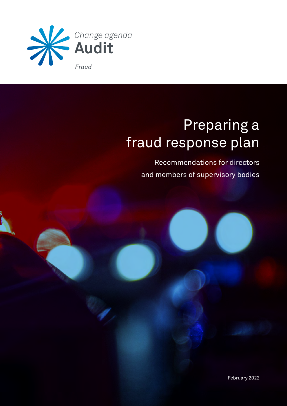

## Preparing a fraud response plan

Recommendations for directors and members of supervisory bodies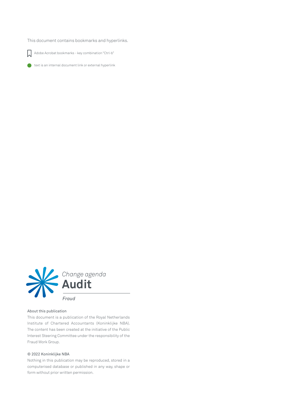This document contains bookmarks and hyperlinks.

 $\Box$ Adobe Acrobat bookmarks - key combination "Ctrl-b"

text is an internal document link or external hyperlink



#### About this publication

This document is a publication of the Royal Netherlands Institute of Chartered Accountants (Koninklijke NBA). The content has been created at the initiative of the Public Interest Steering Committee under the responsibility of the Fraud Work Group.

#### © 2022 Koninklijke NBA

Nothing in this publication may be reproduced, stored in a computerised database or published in any way, shape or form without prior written permission.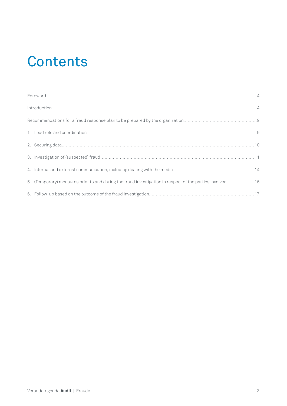## **Contents**

| $\label{eq:1} \vspace{-0.1cm} \textbf{For} \textbf{word} \textcolor{red}{\textbf{1}} \textcolor{red}{\textbf{1}} \textcolor{red}{\textbf{1}} \textcolor{red}{\textbf{1}} \textcolor{red}{\textbf{1}} \textcolor{red}{\textbf{1}} \textcolor{red}{\textbf{1}} \textcolor{red}{\textbf{1}} \textcolor{red}{\textbf{1}} \textcolor{red}{\textbf{1}} \textcolor{red}{\textbf{1}} \textcolor{red}{\textbf{1}} \textcolor{red}{\textbf{1}} \textcolor{red}{\textbf{1}} \textcolor{red}{\textbf{1}} \textcolor{red}{\textbf{1}}$ |                                                                                                           |  |
|---------------------------------------------------------------------------------------------------------------------------------------------------------------------------------------------------------------------------------------------------------------------------------------------------------------------------------------------------------------------------------------------------------------------------------------------------------------------------------------------------------------------------|-----------------------------------------------------------------------------------------------------------|--|
| $\begin{minipage}[c]{0.9\linewidth} \begin{minipage}[c]{0.9\linewidth} \begin{minipage}[c]{0.9\linewidth} \begin{minipage}[c]{0.9\linewidth} \end{minipage}[c]{0.9\linewidth} \end{minipage}[c]{0.9\linewidth} \begin{minipage}[c]{0.9\linewidth} \begin{minipage}[c]{0.9\linewidth} \end{minipage}[c]{0.9\linewidth} \end{minipage}[c]{0.9\linewidth} \end{minipage}[c]{0.9\linewidth} \begin{minipage}[c]{0.9\linewidth} \begin{minipage}[c]{0.9\linewidth} \end{minipage}[c]{0.9\linewidth} \end{minipage}[c]{0$       |                                                                                                           |  |
|                                                                                                                                                                                                                                                                                                                                                                                                                                                                                                                           |                                                                                                           |  |
|                                                                                                                                                                                                                                                                                                                                                                                                                                                                                                                           |                                                                                                           |  |
|                                                                                                                                                                                                                                                                                                                                                                                                                                                                                                                           |                                                                                                           |  |
|                                                                                                                                                                                                                                                                                                                                                                                                                                                                                                                           |                                                                                                           |  |
|                                                                                                                                                                                                                                                                                                                                                                                                                                                                                                                           |                                                                                                           |  |
|                                                                                                                                                                                                                                                                                                                                                                                                                                                                                                                           | 5. (Temporary) measures prior to and during the fraud investigation in respect of the parties involved 16 |  |
|                                                                                                                                                                                                                                                                                                                                                                                                                                                                                                                           |                                                                                                           |  |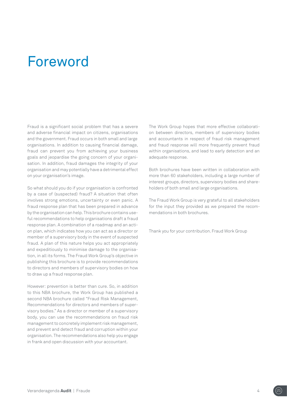#### Foreword

Fraud is a significant social problem that has a severe and adverse financial impact on citizens, organisations and the government. Fraud occurs in both small and large organisations. In addition to causing financial damage, fraud can prevent you from achieving your business goals and jeopardise the going concern of your organisation. In addition, fraud damages the integrity of your organisation and may potentially have a detrimental effect on your organisation's image.

So what should you do if your organisation is confronted by a case of (suspected) fraud? A situation that often involves strong emotions, uncertainty or even panic. A fraud response plan that has been prepared in advance by the organisation can help. This brochure contains useful recommendations to help organisations draft a fraud response plan. A combination of a roadmap and an action plan, which indicates how you can act as a director or member of a supervisory body in the event of suspected fraud. A plan of this nature helps you act appropriately and expeditiously to minimise damage to the organisation, in all its forms. The Fraud Work Group's objective in publishing this brochure is to provide recommendations to directors and members of supervisory bodies on how to draw up a fraud response plan.

However: prevention is better than cure. So, in addition to this NBA brochure, the Work Group has published a second NBA brochure called "Fraud Risk Management, Recommendations for directors and members of supervisory bodies." As a director or member of a supervisory body, you can use the recommendations on fraud risk management to concretely implement risk management, and prevent and detect fraud and corruption within your organisation. The recommendations also help you engage in frank and open discussion with your accountant.

The Work Group hopes that more effective collaboration between directors, members of supervisory bodies and accountants in respect of fraud risk management and fraud response will more frequently prevent fraud within organisations, and lead to early detection and an adequate response.

Both brochures have been written in collaboration with more than 60 stakeholders, including a large number of interest groups, directors, supervisory bodies and shareholders of both small and large organisations.

The Fraud Work Group is very grateful to all stakeholders for the input they provided as we prepared the recommendations in both brochures.

Thank you for your contribution. Fraud Work Group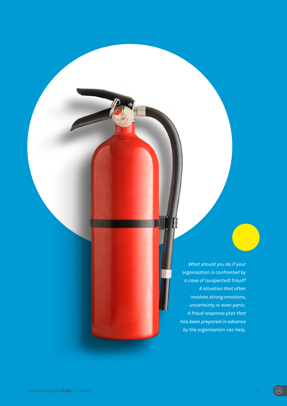*What should you do if your organisation is confronted by a case of (suspected) fraud? A situation that often involves strong emotions, uncertainty or even panic. A fraud response plan that has been prepared in advance by the organisation can help.*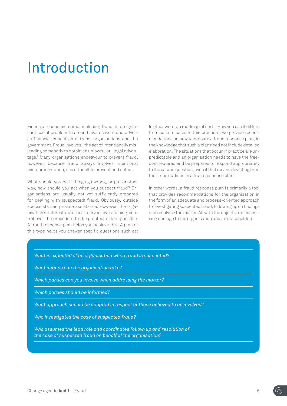### Introduction

Financial-economic crime, including fraud, is a significant social problem that can have a severe and adverse financial impact on citizens, organisations and the government. Fraud involves: 'the act of intentionally misleading somebody to obtain an unlawful or illegal advantage.' Many organisations endeavour to prevent fraud, however, because fraud always involves intentional misrepresentation, it is difficult to prevent and detect.

What should you do if things go wrong, or put another way, how should you act when you suspect fraud? Organisations are usually not yet sufficiently prepared for dealing with (suspected) fraud. Obviously, outside specialists can provide assistance. However, the organisation's interests are best served by retaining control over the procedure to the greatest extent possible. A fraud response plan helps you achieve this. A plan of this type helps you answer specific questions such as: In other words, a roadmap of sorts. How you use it differs from case to case. In this brochure, we provide recommendations on how to prepare a fraud response plan, in the knowledge that such a plan need not include detailed elaboration. The situations that occur in practice are unpredictable and an organisation needs to have the freedom required and be prepared to respond appropriately to the case in question, even if that means deviating from the steps outlined in a fraud response plan.

In other words, a fraud response plan is primarily a tool that provides recommendations for the organisation in the form of an adequate and process-oriented approach to investigating suspected fraud, following up on findings and resolving the matter. All with the objective of minimising damage to the organisation and its stakeholders

*What is expected of an organisation when fraud is suspected?* 

*What actions can the organisation take?*

*Which parties can you involve when addressing the matter?* 

*Which parties should be informed?*

*What approach should be adopted in respect of those believed to be involved?* 

*Who investigates the case of suspected fraud?*

*Who assumes the lead role and coordinates follow-up and resolution of the case of suspected fraud on behalf of the organisation?*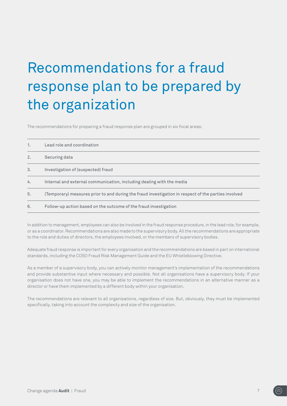## Recommendations for a fraud response plan to be prepared by the organization

The recommendations for preparing a fraud response plan are grouped in six focal areas:

| 1. | Lead role and coordination                                                                          |
|----|-----------------------------------------------------------------------------------------------------|
| 2. | Securing data                                                                                       |
| 3. | Investigation of (suspected) fraud                                                                  |
| 4. | Internal and external communication, including dealing with the media                               |
| 5. | (Temporary) measures prior to and during the fraud investigation in respect of the parties involved |
| 6. | Follow-up action based on the outcome of the fraud investigation                                    |

In addition to management, employees can also be involved in the fraud response procedure, in the lead role, for example, or as a coordinator. Recommendations are also made to the supervisory body. All the recommendations are appropriate to the role and duties of directors, the employees involved, or the members of supervisory bodies.

Adequate fraud response is important for every organisation and the recommendations are based in part on international standards, including the COSO Fraud Risk Management Guide and the EU Whistleblowing Directive.

As a member of a supervisory body, you can actively monitor management's implementation of the recommendations and provide substantive input where necessary and possible. Not all organisations have a supervisory body. If your organisation does not have one, you may be able to implement the recommendations in an alternative manner as a director or have them implemented by a different body within your organisation.

The recommendations are relevant to all organisations, regardless of size. But, obviously, they must be implemented specifically, taking into account the complexity and size of the organisation.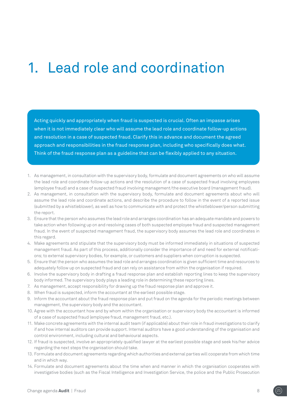### 1. Lead role and coordination

Acting quickly and appropriately when fraud is suspected is crucial. Often an impasse arises when it is not immediately clear who will assume the lead role and coordinate follow-up actions and resolution in a case of suspected fraud. Clarify this in advance and document the agreed approach and responsibilities in the fraud response plan, including who specifically does what. Think of the fraud response plan as a guideline that can be flexibly applied to any situation.

- 1. As management, in consultation with the supervisory body, formulate and document agreements on who will assume the lead role and coordinate follow-up actions and the resolution of a case of suspected fraud involving employees (employee fraud) and a case of suspected fraud involving management/the executive board (management fraud).
- 2. As management, in consultation with the supervisory body, formulate and document agreements about who will assume the lead role and coordinate actions, and describe the procedure to follow in the event of a reported issue (submitted by a whistleblower), as well as how to communicate with and protect the whistleblower/person submitting the report.
- 3. Ensure that the person who assumes the lead role and arranges coordination has an adequate mandate and powers to take action when following up on and resolving cases of both suspected employee fraud and suspected management fraud. In the event of suspected management fraud, the supervisory body assumes the lead role and coordinates in this regard.
- 4. Make agreements and stipulate that the supervisory body must be informed immediately in situations of suspected management fraud. As part of this process, additionally consider the importance of and need for external notifications; to external supervisory bodies, for example, or customers and suppliers when corruption is suspected.
- 5. Ensure that the person who assumes the lead role and arranges coordination is given sufficient time and resources to adequately follow up on suspected fraud and can rely on assistance from within the organisation if required.
- 6. Involve the supervisory body in drafting a fraud response plan and establish reporting lines to keep the supervisory body informed. The supervisory body plays a leading role in determining these reporting lines.
- 7. As management, accept responsibility for drawing up the fraud response plan and approve it.
- 8. When fraud is suspected, inform the accountant at the earliest possible stage.
- 9. Inform the accountant about the fraud response plan and put fraud on the agenda for the periodic meetings between management, the supervisory body and the accountant.
- 10. Agree with the accountant how and by whom within the organisation or supervisory body the accountant is informed of a case of suspected fraud (employee fraud, management fraud, etc.).
- 11. Make concrete agreements with the internal audit team (if applicable) about their role in fraud investigations to clarify if and how internal auditors can provide support. Internal auditors have a good understanding of the organisation and control environment, including cultural and behavioural aspects.
- 12. If fraud is suspected, involve an appropriately qualified lawyer at the earliest possible stage and seek his/her advice regarding the next steps the organisation should take.
- 13. Formulate and document agreements regarding which authorities and external parties will cooperate from which time and in which way.
- 14. Formulate and document agreements about the time when and manner in which the organisation cooperates with investigative bodies (such as the Fiscal Intelligence and Investigation Service, the police and the Public Prosecution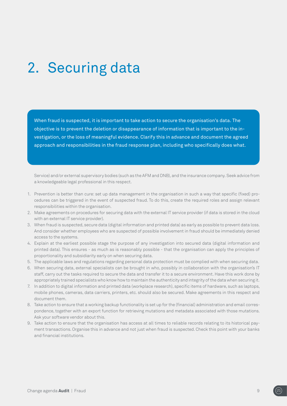#### 2. Securing data

When fraud is suspected, it is important to take action to secure the organisation's data. The objective is to prevent the deletion or disappearance of information that is important to the investigation, or the loss of meaningful evidence. Clarify this in advance and document the agreed approach and responsibilities in the fraud response plan, including who specifically does what.

Service) and/or external supervisory bodies (such as the AFM and DNB), and the insurance company. Seek advice from a knowledgeable legal professional in this respect.

- 1. Prevention is better than cure: set up data management in the organisation in such a way that specific (fixed) procedures can be triggered in the event of suspected fraud. To do this, create the required roles and assign relevant responsibilities within the organisation.
- 2. Make agreements on procedures for securing data with the external IT service provider (if data is stored in the cloud with an external IT service provider).
- 3. When fraud is suspected, secure data (digital information and printed data) as early as possible to prevent data loss. And consider whether employees who are suspected of possible involvement in fraud should be immediately denied access to the systems.
- 4. Explain at the earliest possible stage the purpose of any investigation into secured data (digital information and printed data). This ensures - as much as is reasonably possible - that the organisation can apply the principles of proportionality and subsidiarity early on when securing data.
- 5. The applicable laws and regulations regarding personal data protection must be complied with when securing data.
- 6. When securing data, external specialists can be brought in who, possibly in collaboration with the organisation's IT staff, carry out the tasks required to secure the data and transfer it to a secure environment. Have this work done by appropriately trained specialists who know how to maintain the authenticity and integrity of the data when securing it.
- 7. In addition to digital information and printed data (workplace research), specific items of hardware, such as laptops, mobile phones, cameras, data carriers, printers, etc. should also be secured. Make agreements in this respect and document them.
- 8. Take action to ensure that a working backup functionality is set up for the (financial) administration and email correspondence, together with an export function for retrieving mutations and metadata associated with those mutations. Ask your software vendor about this.
- 9. Take action to ensure that the organisation has access at all times to reliable records relating to its historical payment transactions. Organise this in advance and not just when fraud is suspected. Check this point with your banks and financial institutions.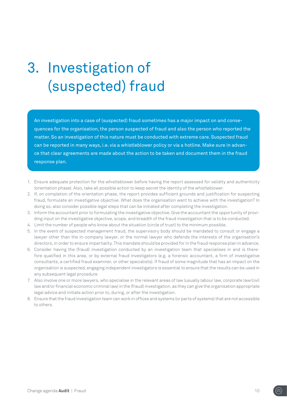## 3. Investigation of (suspected) fraud

An investigation into a case of (suspected) fraud sometimes has a major impact on and consequences for the organisation, the person suspected of fraud and also the person who reported the matter. So an investigation of this nature must be conducted with extreme care. Suspected fraud can be reported in many ways, i.e. via a whistleblower policy or via a hotline. Make sure in advance that clear agreements are made about the action to be taken and document them in the fraud response plan.

- 1. Ensure adequate protection for the whistleblower before having the report assessed for validity and authenticity (orientation phase). Also, take all possible action to keep secret the identity of the whistleblower.
- 2. If, on completion of the orientation phase, the report provides sufficient grounds and justification for suspecting fraud, formulate an investigative objective. What does the organisation want to achieve with the investigation? In doing so, also consider possible legal steps that can be initiated after completing the investigation.
- 3. Inform the accountant prior to formulating the investigative objective. Give the accountant the opportunity of providing input on the investigative objective, scope, and breadth of the fraud investigation that is to be conducted.
- 4. Limit the number of people who know about the situation (circle of trust) to the minimum possible.
- 5. In the event of suspected management fraud, the supervisory body should be mandated to consult or engage a lawyer other than the in-company lawyer, or the normal lawyer who defends the interests of the organisation's directors, in order to ensure impartiality. This mandate should be provided for in the fraud response plan in advance.
- 6. Consider having the (fraud) investigation conducted by an investigation team that specialises in and is therefore qualified in this area, or by external fraud investigators (e.g. a forensic accountant, a firm of investigative consultants, a certified fraud examiner, or other specialists). If fraud of some magnitude that has an impact on the organisation is suspected, engaging independent investigators is essential to ensure that the results can be used in any subsequent legal procedure.
- 7. Also involve one or more lawyers, who specialise in the relevant areas of law (usually labour law, corporate law/civil law and/or financial economic criminal law) in the (fraud) investigation, as they can give the organisation appropriate legal advice and initiate action prior to, during, or after the investigation.
- 8. Ensure that the fraud investigation team can work in offices and systems (or parts of systems) that are not accessible to others.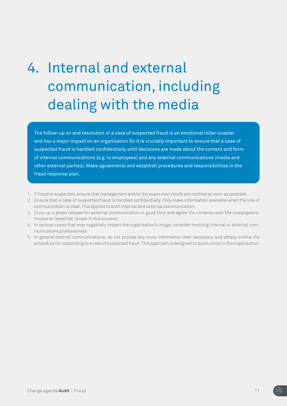# 4. Internal and external communication, including dealing with the media

The follow-up on and resolution of a case of suspected fraud is an emotional roller-coaster and has a major impact on an organisation So it is crucially important to ensure that a case of suspected fraud is handled confidentially until decisions are made about the content and form of internal communications (e.g. to employees) and any external communications (media and other external parties). Make agreements and establish procedures and responsibilities in the fraud response plan.

- 1. If fraud is suspected, ensure that management and/or the supervisory body are notified as soon as possible.
- 2. Ensure that a case of suspected fraud is handled confidentially. Only make information available when the line of communication is clear. This applies to both internal and external communication.
- 3. Draw up a press release for external communication in good time and agree the contents with the investigators. Involve an (external) lawyer in this process.
- 4. In serious cases that may negatively impact the organisation's image, consider involving internal or external communications professionals.
- 5. In general internal communications, do not provide any more information than necessary and simply outline the procedure for responding to a case of suspected fraud. This approach is designed to avoid unrest in the organisation.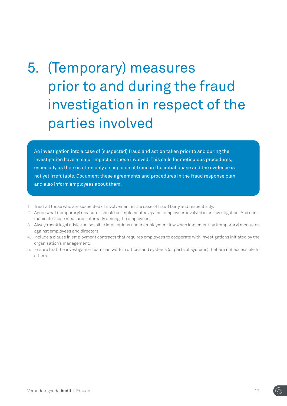# 5. (Temporary) measures prior to and during the fraud investigation in respect of the parties involved

An investigation into a case of (suspected) fraud and action taken prior to and during the investigation have a major impact on those involved. This calls for meticulous procedures, especially as there is often only a suspicion of fraud in the initial phase and the evidence is not yet irrefutable. Document these agreements and procedures in the fraud response plan and also inform employees about them.

- 1. Treat all those who are suspected of involvement in the case of fraud fairly and respectfully.
- 2. Agree what (temporary) measures should be implemented against employees involved in an investigation. And communicate these measures internally among the employees.
- 3. Always seek legal advice on possible implications under employment law when implementing (temporary) measures against employees and directors.
- 4. Include a clause in employment contracts that requires employees to cooperate with investigations initiated by the organisation's management.
- 5. Ensure that the investigation team can work in offices and systems (or parts of systems) that are not accessible to others.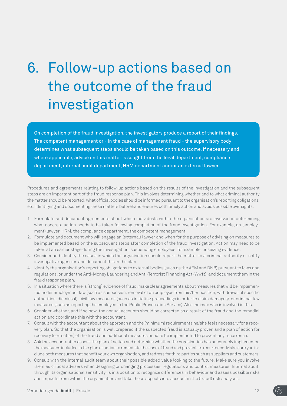# 6. Follow-up actions based on the outcome of the fraud investigation

On completion of the fraud investigation, the investigators produce a report of their findings. The competent management or - in the case of management fraud - the supervisory body determines what subsequent steps should be taken based on this outcome. If necessary and where applicable, advice on this matter is sought from the legal department, compliance department, internal audit department, HRM department and/or an external lawyer.

Procedures and agreements relating to follow-up actions based on the results of the investigation and the subsequent steps are an important part of the fraud response plan. This involves determining whether and to what criminal authority the matter should be reported, what official bodies should be informed pursuant to the organisation's reporting obligations, etc. Identifying and documenting these matters beforehand ensures both timely action and avoids possible oversights.

- 1. Formulate and document agreements about which individuals within the organisation are involved in determining what concrete action needs to be taken following completion of the fraud investigation. For example, an (employment) lawyer, HRM, the compliance department, the competent management.
- 2. Formulate and document who will engage an (external) lawyer and when for the purpose of advising on measures to be implemented based on the subsequent steps after completion of the fraud investigation. Action may need to be taken at an earlier stage during the investigation; suspending employees, for example, or seizing evidence.
- 3. Consider and identify the cases in which the organisation should report the matter to a criminal authority or notify investigative agencies and document this in the plan.
- 4. Identify the organisation's reporting obligations to external bodies (such as the AFM and DNB) pursuant to laws and regulations, or under the Anti-Money Laundering and Anti-Terrorist Financing Act (Wwft), and document them in the fraud response plan.
- 5. In a situation where there is (strong) evidence of fraud, make clear agreements about measures that will be implemented under employment law (such as suspension, removal of an employee from his/her position, withdrawal of specific authorities, dismissal), civil law measures (such as initiating proceedings in order to claim damages), or criminal law measures (such as reporting the employee to the Public Prosecution Service). Also indicate who is involved in this.
- 6. Consider whether, and if so how, the annual accounts should be corrected as a result of the fraud and the remedial action and coordinate this with the accountant.
- 7. Consult with the accountant about the approach and the (minimum) requirements he/she feels necessary for a recovery plan. So that the organisation is well prepared if the suspected fraud is actually proven and a plan of action for recovery (correction) of the fraud and additional measures need to be implemented to prevent any recurrence.
- 8. Ask the accountant to assess the plan of action and determine whether the organisation has adequately implemented the measures included in the plan of action to remediate the case of fraud and prevent its recurrence. Make sure you include both measures that benefit your own organisation, and redress for third parties such as suppliers and customers.
- 9. Consult with the internal audit team about their possible added value looking to the future. Make sure you involve them as critical advisers when designing or changing processes, regulations and control measures. Internal audit, through its organisational sensitivity, is in a position to recognize differences in behaviour and assess possible risks and impacts from within the organisation and take these aspects into account in the (fraud) risk analyses.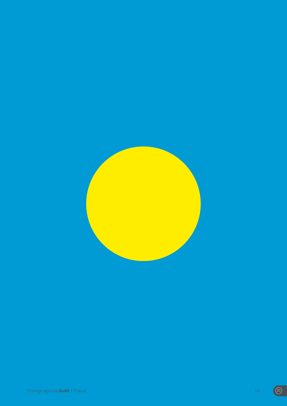

 $\circledcirc$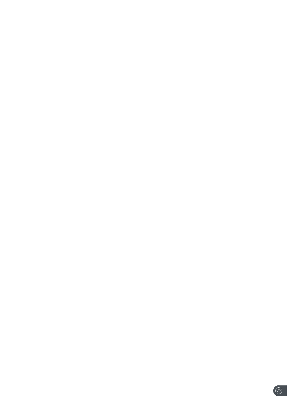$\begin{picture}(20,20) \put(0,0){\line(1,0){10}} \put(15,0){\line(1,0){10}} \put(15,0){\line(1,0){10}} \put(15,0){\line(1,0){10}} \put(15,0){\line(1,0){10}} \put(15,0){\line(1,0){10}} \put(15,0){\line(1,0){10}} \put(15,0){\line(1,0){10}} \put(15,0){\line(1,0){10}} \put(15,0){\line(1,0){10}} \put(15,0){\line(1,0){10}} \put(15,0){\line(1$